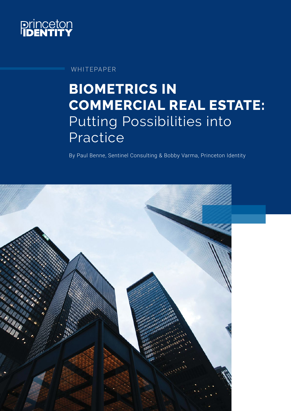

WHITEPAPER

# **BIOMETRICS IN COMMERCIAL REAL ESTATE:**  Putting Possibilities into Practice

By Paul Benne, Sentinel Consulting & Bobby Varma, Princeton Identity

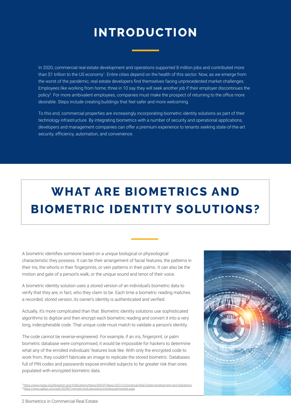#### **INTRODUCTION**

In 2020, commercial real estate development and operations supported 8 million jobs and contributed more than \$1 trillion to the US economy<sup>1</sup>. Entire cities depend on the health of this sector. Now, as we emerge from the worst of the pandemic, real estate developers find themselves facing unprecedented market challenges. Employees like working from home; three in 10 say they will seek another job if their employer discontinues the policy $\emph{?}$ . For more ambivalent employees, companies must make the prospect of returning to the office more desirable. Steps include creating buildings that feel safer and more welcoming.

To this end, commercial properties are increasingly incorporating biometric identity solutions as part of their technology infrastructure. By integrating biometrics with a number of security and operational applications, developers and management companies can offer a premium experience to tenants seeking state-of-the-art security, efficiency, automation, and convenience.

## **WHAT ARE BIOMETRICS AND BIOMETRIC IDENTITY SOLUTIONS?**

A biometric identifies someone based on a unique biological or physiological characteristic they possess. It can be their arrangement of facial features, the patterns in their iris, the whorls in their fingerprints, or vein patterns in their palms. It can also be the motion and gate of a person's walk, or the unique sound and tenor of their voice.

A biometric identity solution uses a stored version of an individual's biometric data to verify that they are, in fact, who they claim to be. Each time a biometric reading matches a recorded, stored version, its owner's identity is authenticated and verified.

Actually, it's more complicated than that. Biometric identity solutions use sophisticated algorithms to digitize and then encrypt each biometric reading and convert it into a very long, indecipherable code. That unique code must match to validate a person's identity.

The code cannot be reverse-engineered. For example, if an iris, fingerprint, or palm biometric database were compromised, it would be impossible for hackers to determine what any of the enrolled individuals' features look like. With only the encrypted code to work from, they couldn't fabricate an image to replicate the stored biometric. Databases full of PIN codes and passwords expose enrolled subjects to far greater risk than ones populated with encrypted biometric data.



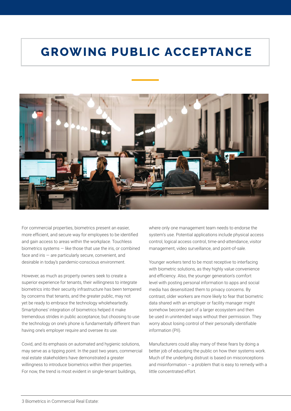#### **GROWING PUBLIC ACCEPTANCE**



For commercial properties, biometrics present an easier, more efficient, and secure way for employees to be identified and gain access to areas within the workplace. Touchless biometrics systems — like those that use the iris, or combined face and iris — are particularly secure, convenient, and desirable in today's pandemic-conscious environment.

However, as much as property owners seek to create a superior experience for tenants, their willingness to integrate biometrics into their security infrastructure has been tempered by concerns that tenants, and the greater public, may not yet be ready to embrace the technology wholeheartedly. Smartphones' integration of biometrics helped it make tremendous strides in public acceptance, but choosing to use the technology on one's phone is fundamentally different than having one's employer require and oversee its use.

Covid, and its emphasis on automated and hygienic solutions, may serve as a tipping point. In the past two years, commercial real estate stakeholders have demonstrated a greater willingness to introduce biometrics within their properties. For now, the trend is most evident in single-tenant buildings,

where only one management team needs to endorse the system's use. Potential applications include physical access control, logical access control, time-and-attendance, visitor management, video surveillance, and point-of-sale.

Younger workers tend to be most receptive to interfacing with biometric solutions, as they highly value convenience and efficiency. Also, the younger generation's comfort level with posting personal information to apps and social media has desensitized them to privacy concerns. By contrast, older workers are more likely to fear that biometric data shared with an employer or facility manager might somehow become part of a larger ecosystem and then be used in unintended ways without their permission. They worry about losing control of their personally identifiable information (PII).

Manufacturers could allay many of these fears by doing a better job of educating the public on how their systems work. Much of the underlying distrust is based on misconceptions and misinformation – a problem that is easy to remedy with a little concentrated effort.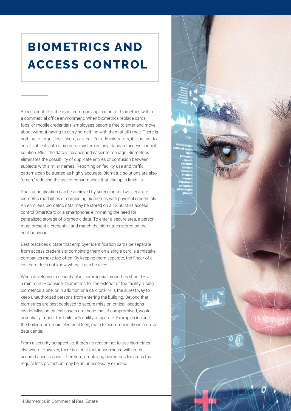## **BIOMETRICS AND ACCESS CONTROL**

Access control is the most common application for biometrics within a commercial office environment. When biometrics replace cards, fobs, or mobile credentials, employees become free to enter and move about without having to carry something with them at all times. There is nothing to forget, lose, share, or steal. For administrators, it is as fast to enroll subjects into a biometric system as any standard access control solution. Plus, the data is cleaner and easier to manage. Biometrics eliminates the possibility of duplicate entries or confusion between subjects with similar names. Reporting on facility use and traffic patterns can be trusted as highly accurate. Biometric solutions are also "green," reducing the use of consumables that end up in landfills.

Dual authentication can be achieved by screening for two separate biometric modalities or combining biometrics with physical credentials. An enrollee's biometric data may be stored on a 13.56 MHz access control SmartCard or a smartphone, eliminating the need for centralized storage of biometric data. To enter a secure area, a person must present a credential and match the biometrics stored on the card or phone.

Best practices dictate that employer identification cards be separate from access credentials; combining them on a single card is a mistake companies make too often. By keeping them separate, the finder of a lost card does not know where it can be used.

When developing a security plan, commercial properties should - at a minimum – consider biometrics for the exterior of the facility. Using biometrics alone, or in addition or a card or PIN, is the surest way to keep unauthorized persons from entering the building. Beyond that, biometrics are best deployed to secure mission-critical locations inside. Mission-critical assets are those that, if compromised, would potentially impact the building's ability to operate. Examples include the boiler room, main electrical feed, main telecommunications area, or data center.

From a security perspective, there's no reason not to use biometrics elsewhere. However, there is a cost factor associated with each secured access point. Therefore, employing biometrics for areas that require less protection may be an unnecessary expense.

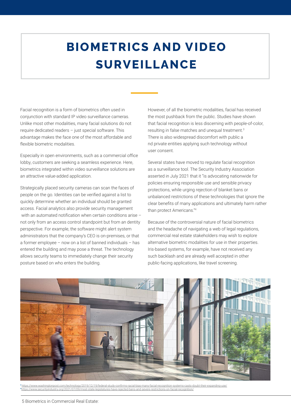## **BIOMETRICS AND VIDEO SURVEILLANCE**

Facial recognition is a form of biometrics often used in conjunction with standard IP video surveillance cameras. Unlike most other modalities, many facial solutions do not require dedicated readers – just special software. This advantage makes the face one of the most affordable and flexible biometric modalities.

Especially in open environments, such as a commercial office lobby, customers are seeking a seamless experience. Here, biometrics integrated within video surveillance solutions are an attractive value-added application.

Strategically placed security cameras can scan the faces of people on the go. Identities can be verified against a list to quickly determine whether an individual should be granted access. Facial analytics also provide security management with an automated notification when certain conditions arise – not only from an access control standpoint but from an dentity perspective. For example, the software might alert system administrators that the company's CEO is on-premises, or that a former employee – now on a list of banned individuals – has entered the building and may pose a threat. The technology allows security teams to immediately change their security posture based on who enters the building.

However, of all the biometric modalities, facial has received the most pushback from the public. Studies have shown that facial recognition is less discerning with people-of-color, resulting in false matches and unequal treatment.<sup>3</sup> There is also widespread discomfort with public a nd private entities applying such technology without user consent.

Several states have moved to regulate facial recognition as a surveillance tool. The Security Industry Association asserted in July 2021 that it "is advocating nationwide for policies ensuring responsible use and sensible privacy protections, while urging rejection of blanket bans or unbalanced restrictions of these technologies that ignore the clear benefits of many applications and ultimately harm rather than protect Americans."4

Because of the controversial nature of facial biometrics and the headache of navigating a web of legal regulations, commercial real estate stakeholders may wish to explore alternative biometric modalities for use in their properties. Iris-based systems, for example, have not received any such backlash and are already well accepted in other public-facing applications, like travel screening.



3 <u>https://www.washingtonpost.com/technology/2019/12/19/federal-study-confirms-racial-bias-many-facial-recognition-systems-casts-doubt-their-expanding-use/<br>4https://www.securityindustry.org/2021/07/09/most-state-legislatur</u>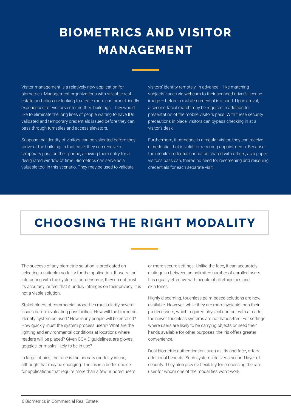### **BIOMETRICS AND VISITOR MANAGEMENT**

Visitor management is a relatively new application for biometrics. Management organizations with sizeable real estate portfolios are looking to create more customer-friendly experiences for visitors entering their buildings. They would like to eliminate the long lines of people waiting to have IDs validated and temporary credentials issued before they can pass through turnstiles and access elevators.

Suppose the identity of visitors can be validated before they arrive at the building. In that case, they can receive a temporary pass on their phone, allowing them entry for a designated window of time. Biometrics can serve as a valuable tool in this scenario. They may be used to validate

visitors' identity remotely, in advance – like matching subjects' faces via webcam to their scanned driver's license image – before a mobile credential is issued. Upon arrival, a second facial match may be required in addition to presentation of the mobile visitor's pass. With these security precautions in place, visitors can bypass checking in at a visitor's desk.

Furthermore, if someone is a regular visitor, they can receive a credential that is valid for recurring appointments. Because the mobile credential cannot be shared with others, as a paper visitor's pass can, there's no need for rescreening and reissuing credentials for each separate visit.

#### **CHOOSING THE RIGHT MODALITY**

The success of any biometric solution is predicated on selecting a suitable modality for the application. If users find interacting with the system is burdensome, they do not trust its accuracy, or feel that it unduly infringes on their privacy, it is not a viable solution.

Stakeholders of commercial properties must clarify several issues before evaluating possibilities. How will the biometric identity system be used? How many people will be enrolled? How quickly must the system process users? What are the lighting and environmental conditions at locations where readers will be placed? Given COVID guidelines, are gloves, goggles, or masks likely to be in use?

In large lobbies, the face is the primary modality in use, although that may be changing. The iris is a better choice for applications that require more than a few hundred users or more secure settings. Unlike the face, it can accurately distinguish between an unlimited number of enrolled users. It is equally effective with people of all ethnicities and skin tones.

Highly discerning, touchless palm-based solutions are now available. However, while they are more hygienic than their predecessors, which required physical contact with a reader, the newer touchless systems are not hands-free. For settings where users are likely to be carrying objects or need their hands available for other purposes, the iris offers greater convenience.

Dual biometric authentication, such as iris and face, offers additional benefits. Such systems deliver a second layer of security. They also provide flexibility for processing the rare user for whom one of the modalities won't work.